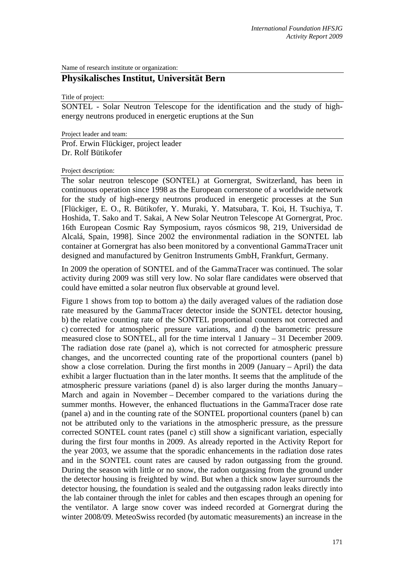Name of research institute or organization:

## **Physikalisches Institut, Universität Bern**

Title of project:

SONTEL - Solar Neutron Telescope for the identification and the study of highenergy neutrons produced in energetic eruptions at the Sun

Project leader and team:

Prof. Erwin Flückiger, project leader Dr. Rolf Bütikofer

## Project description:

The solar neutron telescope (SONTEL) at Gornergrat, Switzerland, has been in continuous operation since 1998 as the European cornerstone of a worldwide network for the study of high-energy neutrons produced in energetic processes at the Sun [Flückiger, E. O., R. Bütikofer, Y. Muraki, Y. Matsubara, T. Koi, H. Tsuchiya, T. Hoshida, T. Sako and T. Sakai, A New Solar Neutron Telescope At Gornergrat, Proc. 16th European Cosmic Ray Symposium, rayos cósmicos 98, 219, Universidad de Alcalá, Spain, 1998]. Since 2002 the environmental radiation in the SONTEL lab container at Gornergrat has also been monitored by a conventional GammaTracer unit designed and manufactured by Genitron Instruments GmbH, Frankfurt, Germany.

In 2009 the operation of SONTEL and of the GammaTracer was continued. The solar activity during 2009 was still very low. No solar flare candidates were observed that could have emitted a solar neutron flux observable at ground level.

Figure 1 shows from top to bottom a) the daily averaged values of the radiation dose rate measured by the GammaTracer detector inside the SONTEL detector housing, b) the relative counting rate of the SONTEL proportional counters not corrected and c) corrected for atmospheric pressure variations, and d) the barometric pressure measured close to SONTEL, all for the time interval 1 January – 31 December 2009. The radiation dose rate (panel a), which is not corrected for atmospheric pressure changes, and the uncorrected counting rate of the proportional counters (panel b) show a close correlation. During the first months in 2009 (January – April) the data exhibit a larger fluctuation than in the later months. It seems that the amplitude of the atmospheric pressure variations (panel d) is also larger during the months January– March and again in November – December compared to the variations during the summer months. However, the enhanced fluctuations in the GammaTracer dose rate (panel a) and in the counting rate of the SONTEL proportional counters (panel b) can not be attributed only to the variations in the atmospheric pressure, as the pressure corrected SONTEL count rates (panel c) still show a significant variation, especially during the first four months in 2009. As already reported in the Activity Report for the year 2003, we assume that the sporadic enhancements in the radiation dose rates and in the SONTEL count rates are caused by radon outgassing from the ground. During the season with little or no snow, the radon outgassing from the ground under the detector housing is freighted by wind. But when a thick snow layer surrounds the detector housing, the foundation is sealed and the outgassing radon leaks directly into the lab container through the inlet for cables and then escapes through an opening for the ventilator. A large snow cover was indeed recorded at Gornergrat during the winter 2008/09. MeteoSwiss recorded (by automatic measurements) an increase in the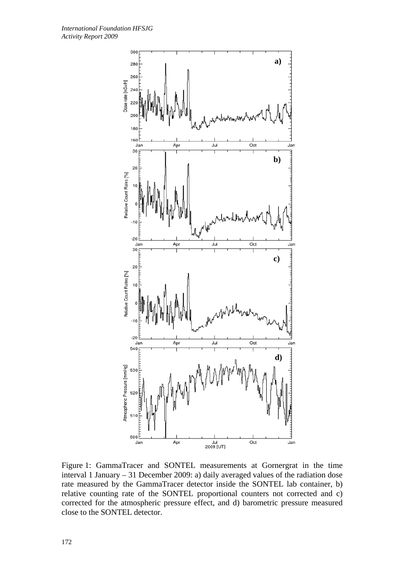

Figure 1: GammaTracer and SONTEL measurements at Gornergrat in the time interval 1 January – 31 December 2009: a) daily averaged values of the radiation dose rate measured by the GammaTracer detector inside the SONTEL lab container, b) relative counting rate of the SONTEL proportional counters not corrected and c) corrected for the atmospheric pressure effect, and d) barometric pressure measured close to the SONTEL detector.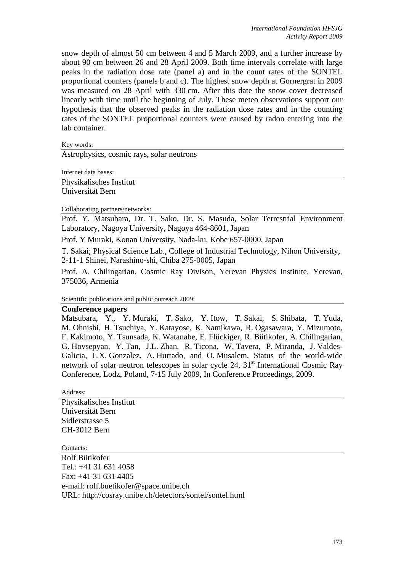snow depth of almost 50 cm between 4 and 5 March 2009, and a further increase by about 90 cm between 26 and 28 April 2009. Both time intervals correlate with large peaks in the radiation dose rate (panel a) and in the count rates of the SONTEL proportional counters (panels b and c). The highest snow depth at Gornergrat in 2009 was measured on 28 April with 330 cm. After this date the snow cover decreased linearly with time until the beginning of July. These meteo observations support our hypothesis that the observed peaks in the radiation dose rates and in the counting rates of the SONTEL proportional counters were caused by radon entering into the lab container.

Key words:

Astrophysics, cosmic rays, solar neutrons

Internet data bases:

Physikalisches Institut Universität Bern

Collaborating partners/networks:

Prof. Y. Matsubara, Dr. T. Sako, Dr. S. Masuda, Solar Terrestrial Environment Laboratory, Nagoya University, Nagoya 464-8601, Japan

Prof. Y Muraki, Konan University, Nada-ku, Kobe 657-0000, Japan

T. Sakai; Physical Science Lab., College of Industrial Technology, Nihon University, 2-11-1 Shinei, Narashino-shi, Chiba 275-0005, Japan

Prof. A. Chilingarian, Cosmic Ray Divison, Yerevan Physics Institute, Yerevan, 375036, Armenia

Scientific publications and public outreach 2009:

## **Conference papers**

Matsubara, Y., Y. Muraki, T. Sako, Y. Itow, T. Sakai, S. Shibata, T. Yuda, M. Ohnishi, H. Tsuchiya, Y. Katayose, K. Namikawa, R. Ogasawara, Y. Mizumoto, F. Kakimoto, Y. Tsunsada, K. Watanabe, E. Flückiger, R. Bütikofer, A. Chilingarian, G. Hovsepyan, Y. Tan, J.L. Zhan, R. Ticona, W. Tavera, P. Miranda, J. Valdes-Galicia, L.X. Gonzalez, A. Hurtado, and O. Musalem, Status of the world-wide network of solar neutron telescopes in solar cycle 24, 31<sup>st</sup> International Cosmic Ray Conference, Lodz, Poland, 7-15 July 2009, In Conference Proceedings, 2009.

Address:

Physikalisches Institut Universität Bern Sidlerstrasse 5 CH-3012 Bern

Contacts:

Rolf Bütikofer Tel.: +41 31 631 4058 Fax: +41 31 631 4405 e-mail: rolf.buetikofer@space.unibe.ch URL: http://cosray.unibe.ch/detectors/sontel/sontel.html